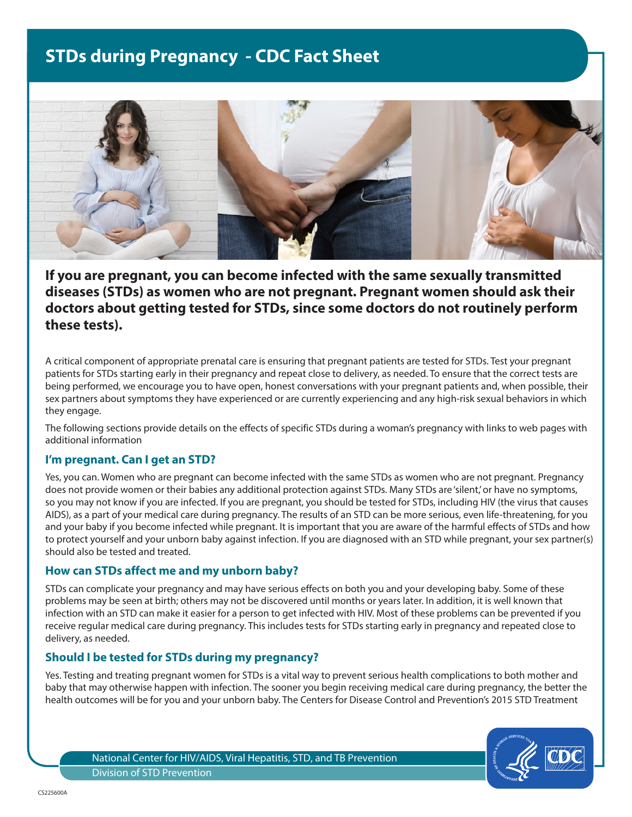# **STDs during Pregnancy - CDC Fact Sheet**



**If you are pregnant, you can become infected with the same sexually transmitted diseases (STDs) as women who are not pregnant. Pregnant women should ask their doctors about getting tested for STDs, since some doctors do not routinely perform these tests).**

A critical component of appropriate prenatal care is ensuring that pregnant patients are tested for STDs. Test your pregnant patients for STDs starting early in their pregnancy and repeat close to delivery, as needed. To ensure that the correct tests are being performed, we encourage you to have open, honest conversations with your pregnant patients and, when possible, their sex partners about symptoms they have experienced or are currently experiencing and any high-risk sexual behaviors in which they engage.

The following sections provide details on the effects of specific STDs during a woman's pregnancy with links to web pages with additional information

#### **I'm pregnant. Can I get an STD?**

Yes, you can. Women who are pregnant can become infected with the same STDs as women who are not pregnant. Pregnancy does not provide women or their babies any additional protection against STDs. Many STDs are 'silent,' or have no symptoms, so you may not know if you are infected. If you are pregnant, you should be tested for STDs, including HIV (the virus that causes AIDS), as a part of your medical care during pregnancy. The results of an STD can be more serious, even life-threatening, for you and your baby if you become infected while pregnant. It is important that you are aware of the harmful effects of STDs and how to protect yourself and your unborn baby against infection. If you are diagnosed with an STD while pregnant, your sex partner(s) should also be tested and treated.

#### **How can STDs affect me and my unborn baby?**

STDs can complicate your pregnancy and may have serious effects on both you and your developing baby. Some of these problems may be seen at birth; others may not be discovered until months or years later. In addition, it is well known that infection with an STD can make it easier for a person to get infected with HIV. Most of these problems can be prevented if you receive regular medical care during pregnancy. This includes tests for STDs starting early in pregnancy and repeated close to delivery, as needed.

#### **Should I be tested for STDs during my pregnancy?**

Yes. Testing and treating pregnant women for STDs is a vital way to prevent serious health complications to both mother and baby that may otherwise happen with infection. The sooner you begin receiving medical care during pregnancy, the better the health outcomes will be for you and your unborn baby. The Centers for Disease Control and Prevention's 2015 STD Treatment



National Center for HIV/AIDS, Viral Hepatitis, STD, and TB Prevention Division of STD Prevention